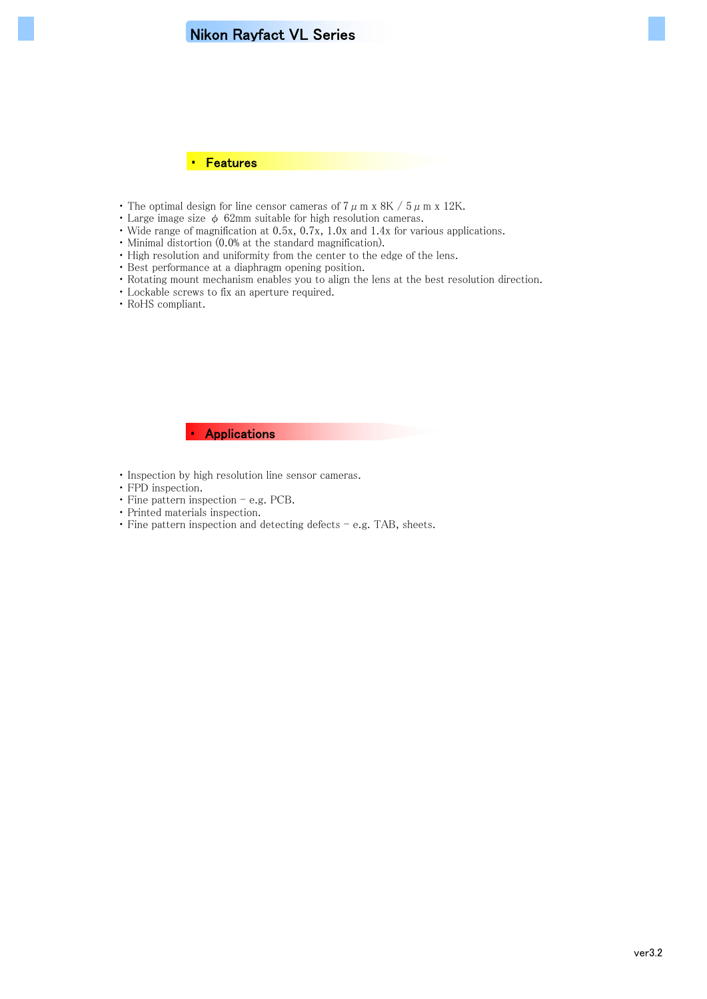# Nikon Rayfact VL Series



- The optimal design for line censor cameras of  $7 \mu$  m x 8K /  $5 \mu$  m x 12K.
- Large image size  $\phi$  62mm suitable for high resolution cameras.
- ・ Wide range of magnification at 0.5x, 0.7x, 1.0x and 1.4x for various applications.
- ・ Minimal distortion (0.0% at the standard magnification).
- ・ High resolution and uniformity from the center to the edge of the lens.
- ・ Best performance at a diaphragm opening position.
- ・ Rotating mount mechanism enables you to align the lens at the best resolution direction.
- ・ Lockable screws to fix an aperture required.
- ・ RoHS compliant.

### ・ Applications

- ・ Inspection by high resolution line sensor cameras.
- ・ FPD inspection.
- $\cdot$  Fine pattern inspection e.g. PCB.
- ・ Printed materials inspection.
- ・ Fine pattern inspection and detecting defects e.g. TAB, sheets.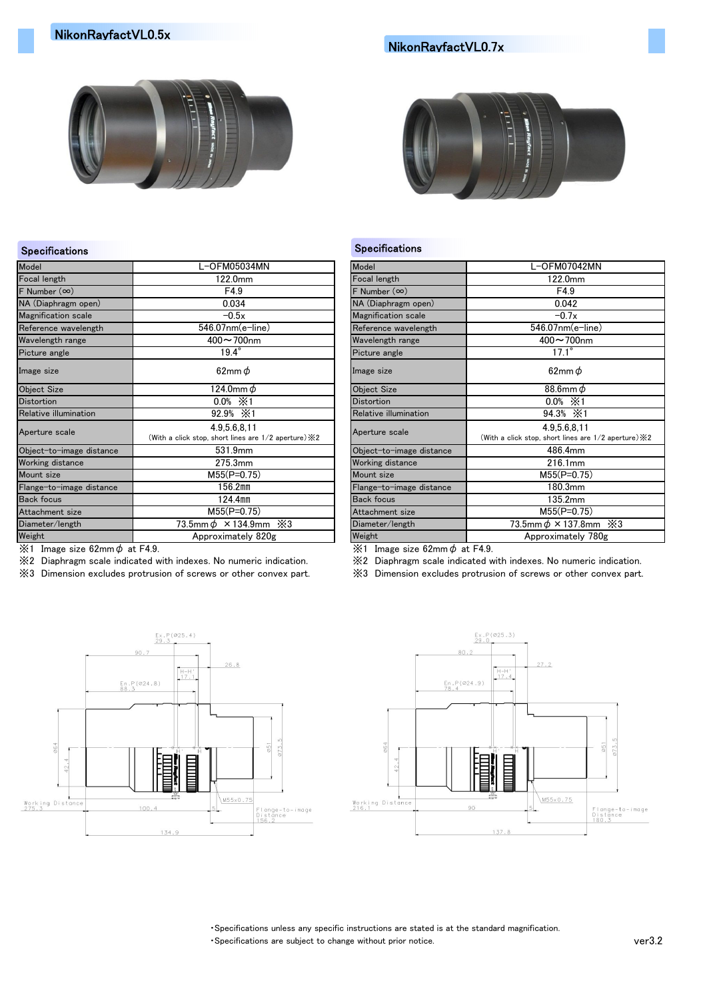## NikonRayfactVL0.7x



### Specifications **Specifications**

| Model                      | L-OFM05034MN                                                            | Model                      | L-OFM07042MN                                                         |
|----------------------------|-------------------------------------------------------------------------|----------------------------|----------------------------------------------------------------------|
| Focal length               | 122.0mm                                                                 | Focal length               | 122.0mm                                                              |
| F Number $(\infty)$        | F4.9                                                                    | F Number $(\infty)$        | F4.9                                                                 |
| NA (Diaphragm open)        | 0.034                                                                   | NA (Diaphragm open)        | 0.042                                                                |
| <b>Magnification</b> scale | $-0.5x$                                                                 | <b>Magnification scale</b> | $-0.7x$                                                              |
| Reference wavelength       | 546.07nm(e-line)                                                        | Reference wavelength       | 546.07nm(e-line)                                                     |
| Wavelength range           | $400 - 700$ nm                                                          | Wavelength range           | 400~700nm                                                            |
| Picture angle              | $19.4^\circ$                                                            | Picture angle              | $17.1^\circ$                                                         |
| Image size                 | 62mm $\phi$                                                             | Image size                 | 62mm $\phi$                                                          |
| <b>Object Size</b>         | 124.0mm $\phi$                                                          | <b>Object Size</b>         | 88.6mm $\phi$                                                        |
| <b>Distortion</b>          | $0.0\% \times 1$                                                        | <b>Distortion</b>          | $0.0\% \times 1$                                                     |
| Relative illumination      | 92.9% $\times 1$                                                        | Relative illumination      | 94.3% $×1$                                                           |
| Aperture scale             | 4.9.5.6.8.11<br>(With a click stop, short lines are 1/2 aperture) $\&2$ | Aperture scale             | 4.9.5.6.8.11<br>(With a click stop, short lines are 1/2 aperture) X2 |
| Object-to-image distance   | 531.9mm                                                                 | Object-to-image distance   | 486.4mm                                                              |
| Working distance           | 275.3mm                                                                 | Working distance           | 216.1mm                                                              |
| Mount size                 | $M55(P=0.75)$                                                           | Mount size                 | $M55(P=0.75)$                                                        |
| Flange-to-image distance   | 156.2mm                                                                 | Flange-to-image distance   | 180.3mm                                                              |
| <b>Back focus</b>          | $124.4$ mm                                                              | <b>Back focus</b>          | 135.2mm                                                              |
| Attachment size            | $M55(P=0.75)$                                                           | Attachment size            | $M55(P=0.75)$                                                        |
| Diameter/length            | 73.5mm $\phi$ × 134.9mm $\ge$ 3                                         | Diameter/length            | 73.5mm $\phi$ × 137.8mm $\cdot$ $\cdot$ $\cdot$ 3                    |
| Weight                     | Approximately 820g                                                      | Weight                     | Approximately 780g                                                   |
|                            |                                                                         |                            |                                                                      |

 $\frac{1}{2}$  Image size 62mm $\phi$  at F4.9.  $\frac{1}{2}$  at F4.9.

※2 Diaphragm scale indicated with indexes. No numeric indication. ※2 Diaphragm scale indicated with indexes. No numeric indication.

※3 Dimension excludes protrusion of screws or other convex part. ※3 Dimension excludes protrusion of screws or other convex part.





・Specifications unless any specific instructions are stated is at the standard magnification.

・Specifications are subject to change without prior notice. ver3.2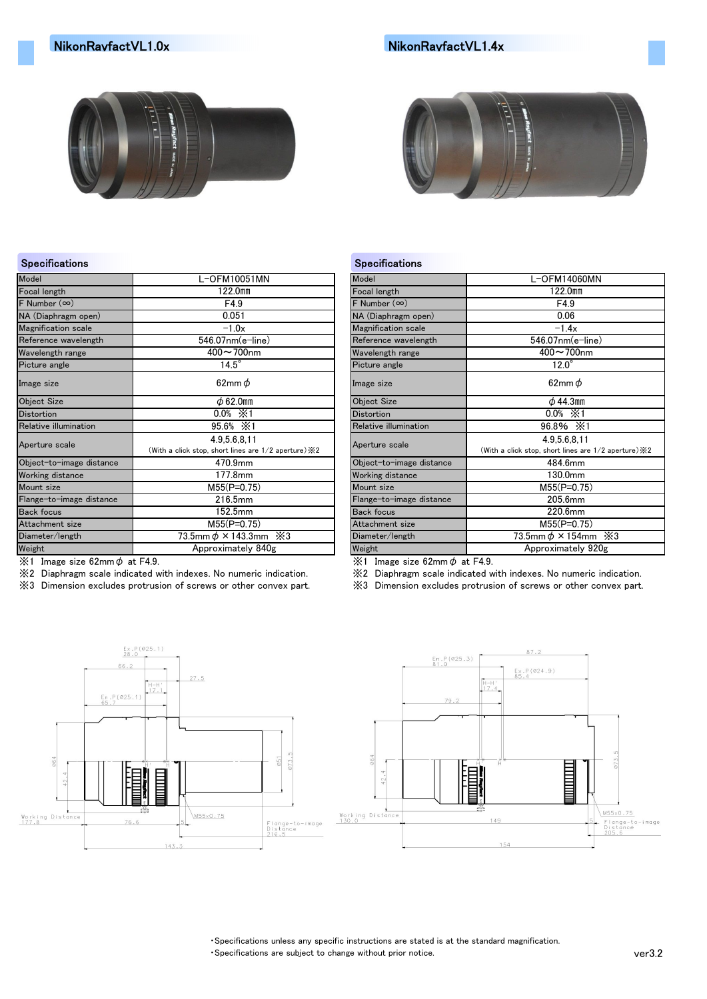# NikonRayfactVL1.0x NikonRayfactVL1.4x





### Specifications **Specifications** Specifications **Specifications**

| Model                      | L-OFM10051MN                                                            | Model                      | L-OFM14060MN                                                            |
|----------------------------|-------------------------------------------------------------------------|----------------------------|-------------------------------------------------------------------------|
| Focal length               | 122.0mm                                                                 | Focal length               | 122.0mm                                                                 |
| $F$ Number $(\infty)$      | F4.9                                                                    | F Number $(\infty)$        | F4.9                                                                    |
| NA (Diaphragm open)        | 0.051                                                                   | NA (Diaphragm open)        | 0.06                                                                    |
| <b>Magnification</b> scale | $-1.0x$                                                                 | <b>Magnification scale</b> | $-1.4x$                                                                 |
| Reference wavelength       | 546.07nm(e-line)                                                        | Reference wavelength       | 546.07nm(e-line)                                                        |
| Wavelength range           | $400 - 700$ nm                                                          | Wavelength range           | $400 - 700$ nm                                                          |
| Picture angle              | $14.5^\circ$                                                            | Picture angle              | $12.0^\circ$                                                            |
| Image size                 | 62mm $\phi$                                                             | Image size                 | 62mm $\phi$                                                             |
| <b>Object Size</b>         | $\phi$ 62.0mm                                                           | <b>Object Size</b>         | $\phi$ 44.3mm                                                           |
| <b>Distortion</b>          | $0.0\% \times 1$                                                        | <b>Distortion</b>          | $0.0\% \times 1$                                                        |
| Relative illumination      | 95.6% $×1$                                                              | Relative illumination      | 96.8% $\cdot$ X1                                                        |
| Aperture scale             | 4.9.5.6.8.11<br>(With a click stop, short lines are 1/2 aperture) $\&2$ | Aperture scale             | 4.9,5.6,8,11<br>(With a click stop, short lines are 1/2 aperture) $\&2$ |
| Object-to-image distance   | 470.9mm                                                                 | Object-to-image distance   | 484.6mm                                                                 |
| Working distance           | 177.8mm                                                                 | <b>Working distance</b>    | 130.0mm                                                                 |
| Mount size                 | $M55(P=0.75)$                                                           | Mount size                 | $M55(P=0.75)$                                                           |
| Flange-to-image distance   | 216.5mm                                                                 | Flange-to-image distance   | 205.6mm                                                                 |
| <b>Back focus</b>          | 152.5mm                                                                 | <b>Back focus</b>          | 220.6mm                                                                 |
| Attachment size            | $M55(P=0.75)$                                                           | Attachment size            | $M55(P=0.75)$                                                           |
| Diameter/length            | 73.5mm $\phi$ × 143.3mm $\cdot$ $\times$ 3                              | Diameter/length            | 73.5mm $\phi$ × 154mm $\cdot$ $\times$ 3                                |
| Weight                     | Approximately 840g                                                      | Weight                     | Approximately 920g                                                      |
|                            |                                                                         |                            |                                                                         |

 $\frac{1}{2}$  Image size 62mm $\phi$  at F4.9.  $\frac{1}{2}$  at F4.9.

※2 Diaphragm scale indicated with indexes. No numeric indication. ※2 Diaphragm scale indicated with indexes. No numeric indication.

※3 Dimension excludes protrusion of screws or other convex part. ※3 Dimension excludes protrusion of screws or other convex part.





・Specifications unless any specific instructions are stated is at the standard magnification.

・Specifications are subject to change without prior notice. ver3.2